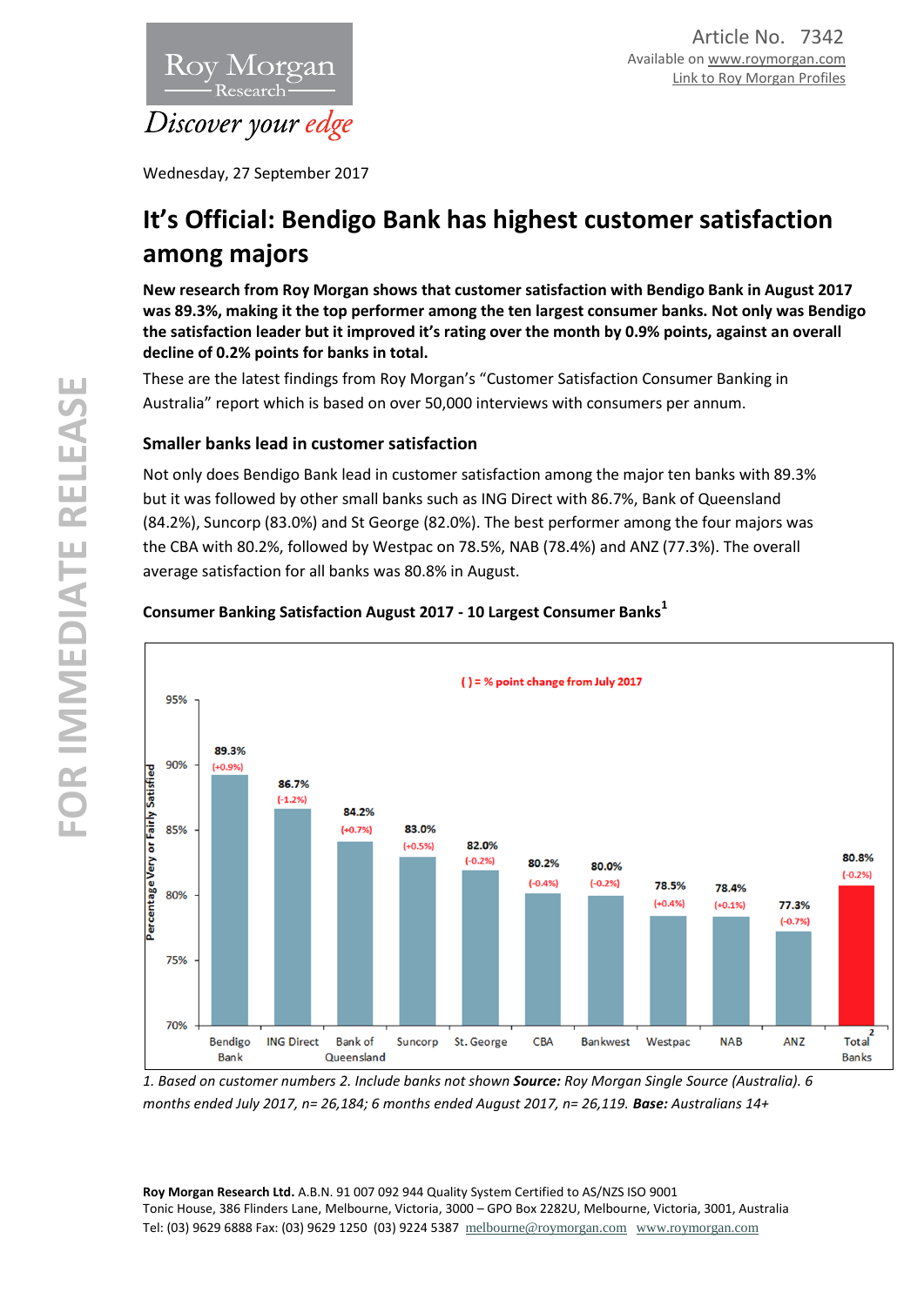

Wednesday, 27 September 2017

# **It's Official: Bendigo Bank has highest customer satisfaction among majors**

**New research from Roy Morgan shows that customer satisfaction with Bendigo Bank in August 2017 was 89.3%, making it the top performer among the ten largest consumer banks. Not only was Bendigo the satisfaction leader but it improved it's rating over the month by 0.9% points, against an overall decline of 0.2% points for banks in total.**

These are the latest findings from Roy Morgan's "Customer Satisfaction Consumer Banking in Australia" report which is based on over 50,000 interviews with consumers per annum.

## **Smaller banks lead in customer satisfaction**

Not only does Bendigo Bank lead in customer satisfaction among the major ten banks with 89.3% but it was followed by other small banks such as ING Direct with 86.7%, Bank of Queensland (84.2%), Suncorp (83.0%) and St George (82.0%). The best performer among the four majors was the CBA with 80.2%, followed by Westpac on 78.5%, NAB (78.4%) and ANZ (77.3%). The overall average satisfaction for all banks was 80.8% in August.



## **Consumer Banking Satisfaction August 2017 - 10 Largest Consumer Banks<sup>1</sup>**

*1. Based on customer numbers 2. Include banks not shown Source: Roy Morgan Single Source (Australia). 6 months ended July 2017, n= 26,184; 6 months ended August 2017, n= 26,119. Base: Australians 14+*

**Roy Morgan Research Ltd.** A.B.N. 91 007 092 944 Quality System Certified to AS/NZS ISO 9001 Tonic House, 386 Flinders Lane, Melbourne, Victoria, 3000 – GPO Box 2282U, Melbourne, Victoria, 3001, Australia Tel: (03) 9629 6888 Fax: (03) 9629 1250 (03) 9224 5387 [melbourne@roymorgan.com](mailto:melbourne@roymorgan.com) [www.roymorgan.com](http://www.roymorgan.com/)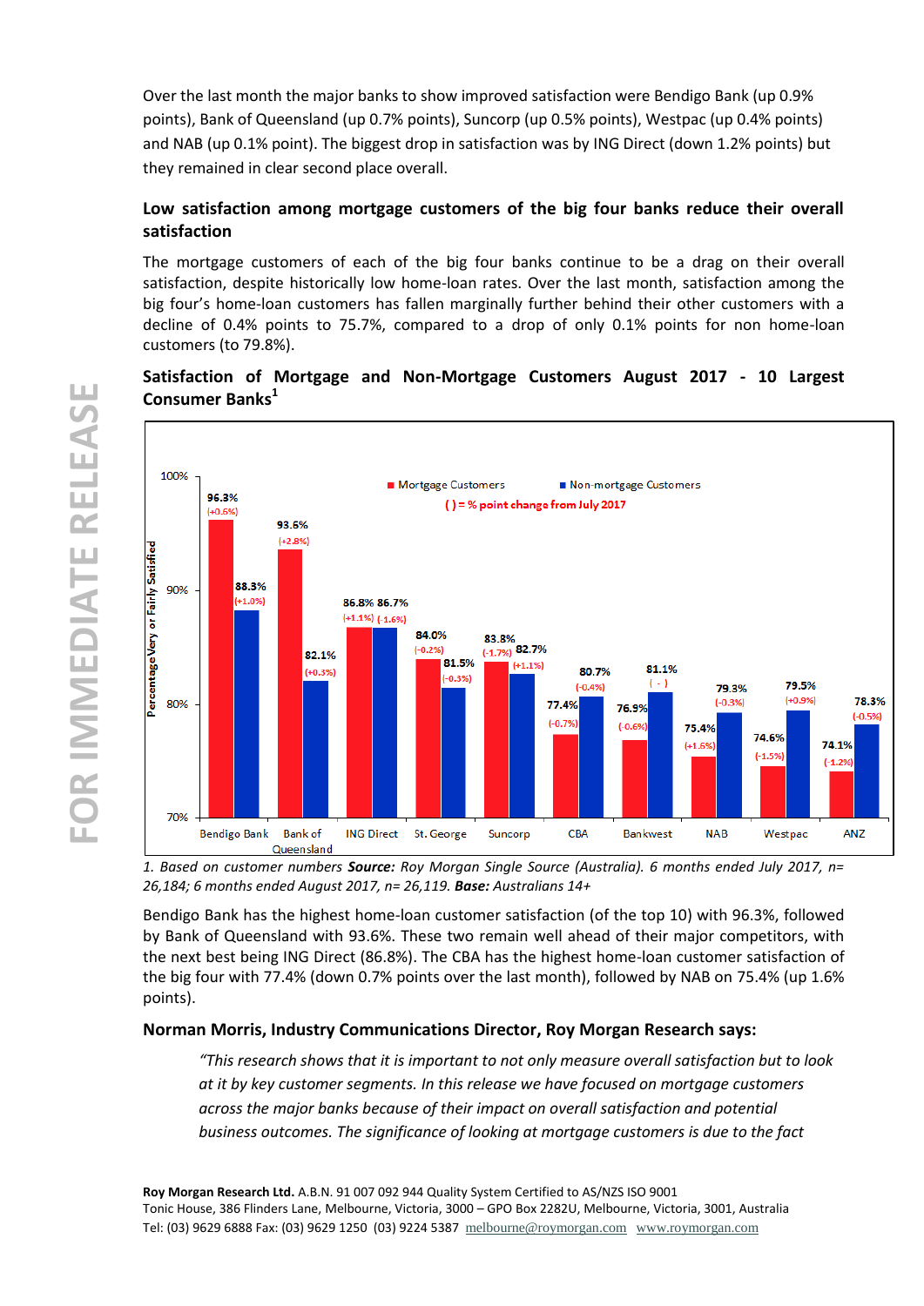Over the last month the major banks to show improved satisfaction were Bendigo Bank (up 0.9% points), Bank of Queensland (up 0.7% points), Suncorp (up 0.5% points), Westpac (up 0.4% points) and NAB (up 0.1% point). The biggest drop in satisfaction was by ING Direct (down 1.2% points) but they remained in clear second place overall.

## **Low satisfaction among mortgage customers of the big four banks reduce their overall satisfaction**

The mortgage customers of each of the big four banks continue to be a drag on their overall satisfaction, despite historically low home-loan rates. Over the last month, satisfaction among the big four's home-loan customers has fallen marginally further behind their other customers with a decline of 0.4% points to 75.7%, compared to a drop of only 0.1% points for non home-loan customers (to 79.8%).

# **Satisfaction of Mortgage and Non-Mortgage Customers August 2017 - 10 Largest Consumer Banks<sup>1</sup>**



*1. Based on customer numbers Source: Roy Morgan Single Source (Australia). 6 months ended July 2017, n= 26,184; 6 months ended August 2017, n= 26,119. Base: Australians 14+*

Bendigo Bank has the highest home-loan customer satisfaction (of the top 10) with 96.3%, followed by Bank of Queensland with 93.6%. These two remain well ahead of their major competitors, with the next best being ING Direct (86.8%). The CBA has the highest home-loan customer satisfaction of the big four with 77.4% (down 0.7% points over the last month), followed by NAB on 75.4% (up 1.6% points).

## **Norman Morris, Industry Communications Director, Roy Morgan Research says:**

*"This research shows that it is important to not only measure overall satisfaction but to look at it by key customer segments. In this release we have focused on mortgage customers across the major banks because of their impact on overall satisfaction and potential business outcomes. The significance of looking at mortgage customers is due to the fact* 

**Roy Morgan Research Ltd.** A.B.N. 91 007 092 944 Quality System Certified to AS/NZS ISO 9001 Tonic House, 386 Flinders Lane, Melbourne, Victoria, 3000 – GPO Box 2282U, Melbourne, Victoria, 3001, Australia **7**Tel: (03) 9629 6888 Fax: (03) 9629 1250 (03) 9224 5387 [melbourne@roymorgan.com](mailto:melbourne@roymorgan.com) [www.roymorgan.com](http://www.roymorgan.com/)